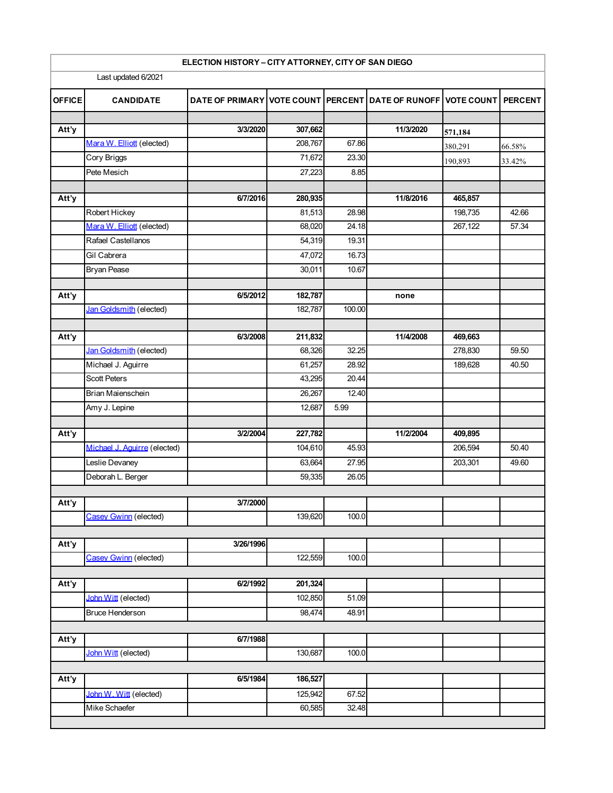| ELECTION HISTORY - CITY ATTORNEY, CITY OF SAN DIEGO |                              |                                                              |         |        |           |         |                |  |  |
|-----------------------------------------------------|------------------------------|--------------------------------------------------------------|---------|--------|-----------|---------|----------------|--|--|
| Last updated 6/2021                                 |                              |                                                              |         |        |           |         |                |  |  |
| <b>OFFICE</b>                                       | <b>CANDIDATE</b>             | DATE OF PRIMARY VOTE COUNT PERCENT DATE OF RUNOFF VOTE COUNT |         |        |           |         | <b>PERCENT</b> |  |  |
| Att'y                                               |                              | 3/3/2020                                                     | 307,662 |        | 11/3/2020 |         |                |  |  |
|                                                     | Mara W. Elliott (elected)    |                                                              | 208,767 | 67.86  |           | 571,184 |                |  |  |
|                                                     | Cory Briggs                  |                                                              | 71,672  | 23.30  |           | 380,291 | 66.58%         |  |  |
|                                                     | Pete Mesich                  |                                                              | 27,223  | 8.85   |           | 190,893 | 33.42%         |  |  |
|                                                     |                              |                                                              |         |        |           |         |                |  |  |
| Att'y                                               |                              | 6/7/2016                                                     | 280,935 |        | 11/8/2016 | 465,857 |                |  |  |
|                                                     | Robert Hickey                |                                                              | 81,513  | 28.98  |           | 198,735 | 42.66          |  |  |
|                                                     | Mara W. Elliott (elected)    |                                                              | 68,020  | 24.18  |           | 267,122 | 57.34          |  |  |
|                                                     | Rafael Castellanos           |                                                              | 54,319  | 19.31  |           |         |                |  |  |
|                                                     | Gil Cabrera                  |                                                              | 47,072  | 16.73  |           |         |                |  |  |
|                                                     | <b>Bryan Pease</b>           |                                                              | 30,011  | 10.67  |           |         |                |  |  |
|                                                     |                              |                                                              |         |        |           |         |                |  |  |
| Att'y                                               |                              | 6/5/2012                                                     | 182,787 |        | none      |         |                |  |  |
|                                                     | Jan Goldsmith (elected)      |                                                              | 182,787 | 100.00 |           |         |                |  |  |
|                                                     |                              |                                                              |         |        |           |         |                |  |  |
| Att'y                                               |                              | 6/3/2008                                                     | 211,832 |        | 11/4/2008 | 469,663 |                |  |  |
|                                                     | Jan Goldsmith (elected)      |                                                              | 68,326  | 32.25  |           | 278,830 | 59.50          |  |  |
|                                                     | Michael J. Aguirre           |                                                              | 61,257  | 28.92  |           | 189,628 | 40.50          |  |  |
|                                                     | <b>Scott Peters</b>          |                                                              | 43,295  | 20.44  |           |         |                |  |  |
|                                                     | Brian Maienschein            |                                                              | 26,267  | 12.40  |           |         |                |  |  |
|                                                     | Amy J. Lepine                |                                                              | 12,687  | 5.99   |           |         |                |  |  |
|                                                     |                              |                                                              |         |        |           |         |                |  |  |
| Att'y                                               |                              | 3/2/2004                                                     | 227,782 |        | 11/2/2004 | 409,895 |                |  |  |
|                                                     | Michael J. Aquirre (elected) |                                                              | 104,610 | 45.93  |           | 206,594 | 50.40          |  |  |
|                                                     | Leslie Devaney               |                                                              | 63,664  | 27.95  |           | 203,301 | 49.60          |  |  |
|                                                     | Deborah L. Berger            |                                                              | 59,335  | 26.05  |           |         |                |  |  |
| Att'y                                               |                              | 3/7/2000                                                     |         |        |           |         |                |  |  |
|                                                     | Casey Gwinn (elected)        |                                                              | 139,620 | 100.0  |           |         |                |  |  |
|                                                     |                              |                                                              |         |        |           |         |                |  |  |
| Att'y                                               |                              | 3/26/1996                                                    |         |        |           |         |                |  |  |
|                                                     | Casev Gwinn (elected)        |                                                              | 122,559 | 100.0  |           |         |                |  |  |
|                                                     |                              |                                                              |         |        |           |         |                |  |  |
| Att'y                                               |                              | 6/2/1992                                                     | 201,324 |        |           |         |                |  |  |
|                                                     | John Witt (elected)          |                                                              | 102,850 | 51.09  |           |         |                |  |  |
|                                                     | <b>Bruce Henderson</b>       |                                                              | 98,474  | 48.91  |           |         |                |  |  |
|                                                     |                              |                                                              |         |        |           |         |                |  |  |
| Att'y                                               |                              | 6/7/1988                                                     |         |        |           |         |                |  |  |
|                                                     | John Witt (elected)          |                                                              | 130,687 | 100.0  |           |         |                |  |  |
|                                                     |                              |                                                              |         |        |           |         |                |  |  |
| Att'y                                               |                              | 6/5/1984                                                     | 186,527 |        |           |         |                |  |  |
|                                                     | John W. Witt (elected)       |                                                              | 125,942 | 67.52  |           |         |                |  |  |
|                                                     | Mike Schaefer                |                                                              | 60,585  | 32.48  |           |         |                |  |  |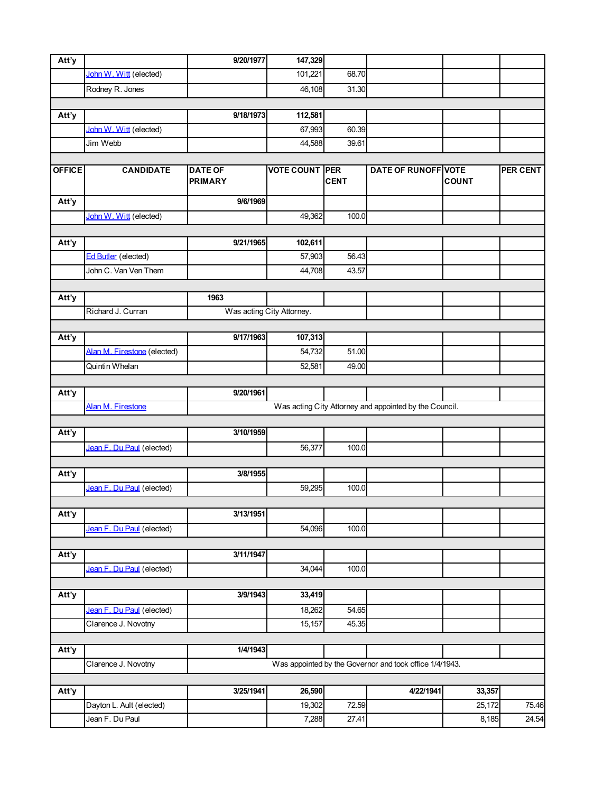| Att'y         |                             | 9/20/1977                                               | 147,329                   |             |                                                        |              |          |  |
|---------------|-----------------------------|---------------------------------------------------------|---------------------------|-------------|--------------------------------------------------------|--------------|----------|--|
|               | John W. Witt (elected)      |                                                         | 101,221                   | 68.70       |                                                        |              |          |  |
|               | Rodney R. Jones             |                                                         | 46,108                    | 31.30       |                                                        |              |          |  |
|               |                             |                                                         |                           |             |                                                        |              |          |  |
| Att'y         |                             | 9/18/1973                                               | 112,581                   |             |                                                        |              |          |  |
|               | John W. Witt (elected)      |                                                         | 67,993                    | 60.39       |                                                        |              |          |  |
|               | Jim Webb                    |                                                         | 44,588                    | 39.61       |                                                        |              |          |  |
|               |                             |                                                         |                           |             |                                                        |              |          |  |
| <b>OFFICE</b> | <b>CANDIDATE</b>            | <b>DATE OF</b><br><b>PRIMARY</b>                        | <b>VOTE COUNT PER</b>     | <b>CENT</b> | DATE OF RUNOFF VOTE                                    | <b>COUNT</b> | PER CENT |  |
| Att'y         |                             | 9/6/1969                                                |                           |             |                                                        |              |          |  |
|               | John W. Witt (elected)      |                                                         | 49,362                    | 100.0       |                                                        |              |          |  |
|               |                             |                                                         |                           |             |                                                        |              |          |  |
| Att'y         |                             | 9/21/1965                                               | 102,611                   |             |                                                        |              |          |  |
|               | <b>Ed Butler</b> (elected)  |                                                         | 57,903                    | 56.43       |                                                        |              |          |  |
|               | John C. Van Ven Them        |                                                         | 44,708                    | 43.57       |                                                        |              |          |  |
|               |                             |                                                         |                           |             |                                                        |              |          |  |
| Att'y         |                             | 1963                                                    |                           |             |                                                        |              |          |  |
|               | Richard J. Curran           |                                                         | Was acting City Attorney. |             |                                                        |              |          |  |
|               |                             |                                                         |                           |             |                                                        |              |          |  |
| Att'y         |                             | 9/17/1963                                               | 107,313                   |             |                                                        |              |          |  |
|               | Alan M. Firestone (elected) |                                                         | 54,732                    | 51.00       |                                                        |              |          |  |
|               | Quintin Whelan              |                                                         | 52,581                    | 49.00       |                                                        |              |          |  |
| Att'y         |                             | 9/20/1961                                               |                           |             |                                                        |              |          |  |
|               | Alan M. Firestone           |                                                         |                           |             | Was acting City Attorney and appointed by the Council. |              |          |  |
|               |                             |                                                         |                           |             |                                                        |              |          |  |
| Att'y         |                             | 3/10/1959                                               |                           |             |                                                        |              |          |  |
|               | Jean F. Du Paul (elected)   |                                                         | 56,377                    | 100.0       |                                                        |              |          |  |
|               |                             |                                                         |                           |             |                                                        |              |          |  |
| Att'y         |                             | 3/8/1955                                                |                           |             |                                                        |              |          |  |
|               | Jean F. Du Paul (elected)   |                                                         | 59,295                    | 100.0       |                                                        |              |          |  |
|               |                             |                                                         |                           |             |                                                        |              |          |  |
| Att'y         |                             | 3/13/1951                                               |                           |             |                                                        |              |          |  |
|               | Jean F. Du Paul (elected)   |                                                         | 54,096                    | 100.0       |                                                        |              |          |  |
|               |                             |                                                         |                           |             |                                                        |              |          |  |
| Att'y         |                             | 3/11/1947                                               |                           |             |                                                        |              |          |  |
|               | Jean F. Du Paul (elected)   |                                                         | 34,044                    | 100.0       |                                                        |              |          |  |
|               |                             |                                                         |                           |             |                                                        |              |          |  |
| Att'y         |                             | 3/9/1943                                                | 33,419                    |             |                                                        |              |          |  |
|               | Jean F. Du Paul (elected)   |                                                         | 18,262                    | 54.65       |                                                        |              |          |  |
|               | Clarence J. Novotny         |                                                         | 15,157                    | 45.35       |                                                        |              |          |  |
|               |                             | 1/4/1943                                                |                           |             |                                                        |              |          |  |
| Att'y         | Clarence J. Novotny         |                                                         |                           |             |                                                        |              |          |  |
|               |                             | Was appointed by the Governor and took office 1/4/1943. |                           |             |                                                        |              |          |  |
| Att'y         |                             | 3/25/1941                                               | 26,590                    |             | 4/22/1941                                              | 33,357       |          |  |
|               | Dayton L. Ault (elected)    |                                                         | 19,302                    | 72.59       |                                                        | 25,172       | 75.46    |  |
|               | Jean F. Du Paul             |                                                         | 7,288                     | 27.41       |                                                        | 8,185        | 24.54    |  |
|               |                             |                                                         |                           |             |                                                        |              |          |  |